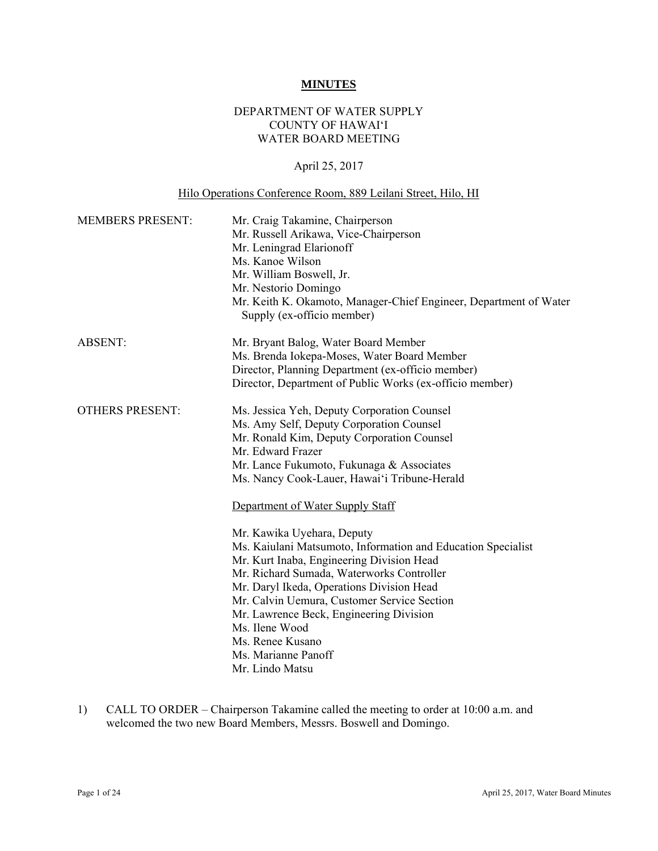### **MINUTES**

# DEPARTMENT OF WATER SUPPLY COUNTY OF HAWAI'I WATER BOARD MEETING

# April 25, 2017

# Hilo Operations Conference Room, 889 Leilani Street, Hilo, HI

| <b>MEMBERS PRESENT:</b> | Mr. Craig Takamine, Chairperson<br>Mr. Russell Arikawa, Vice-Chairperson<br>Mr. Leningrad Elarionoff<br>Ms. Kanoe Wilson<br>Mr. William Boswell, Jr.<br>Mr. Nestorio Domingo<br>Mr. Keith K. Okamoto, Manager-Chief Engineer, Department of Water<br>Supply (ex-officio member)                                                                                                                                                                 |
|-------------------------|-------------------------------------------------------------------------------------------------------------------------------------------------------------------------------------------------------------------------------------------------------------------------------------------------------------------------------------------------------------------------------------------------------------------------------------------------|
| <b>ABSENT:</b>          | Mr. Bryant Balog, Water Board Member<br>Ms. Brenda Iokepa-Moses, Water Board Member<br>Director, Planning Department (ex-officio member)<br>Director, Department of Public Works (ex-officio member)                                                                                                                                                                                                                                            |
| <b>OTHERS PRESENT:</b>  | Ms. Jessica Yeh, Deputy Corporation Counsel<br>Ms. Amy Self, Deputy Corporation Counsel<br>Mr. Ronald Kim, Deputy Corporation Counsel<br>Mr. Edward Frazer<br>Mr. Lance Fukumoto, Fukunaga & Associates<br>Ms. Nancy Cook-Lauer, Hawai'i Tribune-Herald                                                                                                                                                                                         |
|                         | Department of Water Supply Staff<br>Mr. Kawika Uyehara, Deputy<br>Ms. Kaiulani Matsumoto, Information and Education Specialist<br>Mr. Kurt Inaba, Engineering Division Head<br>Mr. Richard Sumada, Waterworks Controller<br>Mr. Daryl Ikeda, Operations Division Head<br>Mr. Calvin Uemura, Customer Service Section<br>Mr. Lawrence Beck, Engineering Division<br>Ms. Ilene Wood<br>Ms. Renee Kusano<br>Ms. Marianne Panoff<br>Mr. Lindo Matsu |

1) CALL TO ORDER – Chairperson Takamine called the meeting to order at 10:00 a.m. and welcomed the two new Board Members, Messrs. Boswell and Domingo.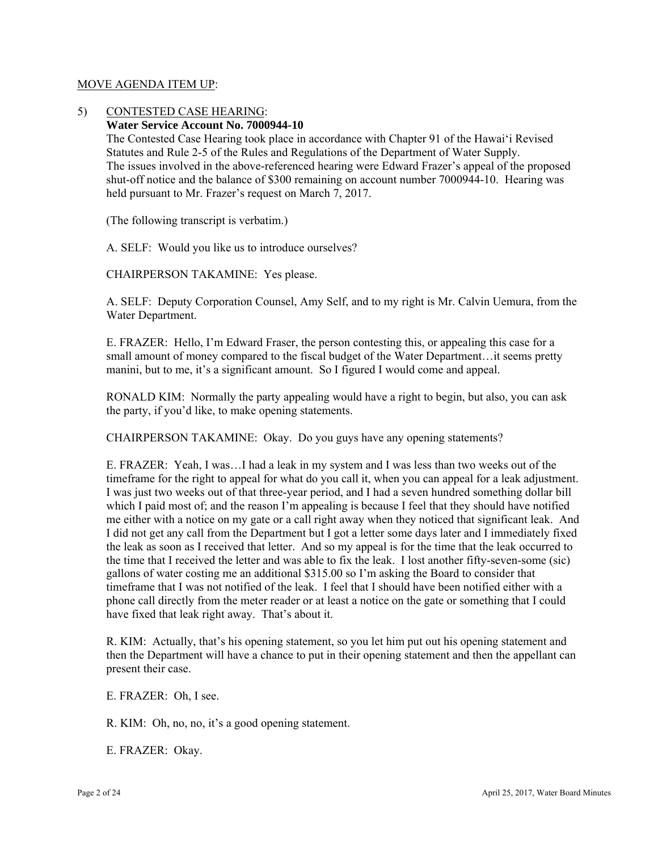### MOVE AGENDA ITEM UP:

5) CONTESTED CASE HEARING:

### **Water Service Account No. 7000944-10**

The Contested Case Hearing took place in accordance with Chapter 91 of the Hawai'i Revised Statutes and Rule 2-5 of the Rules and Regulations of the Department of Water Supply. The issues involved in the above-referenced hearing were Edward Frazer's appeal of the proposed shut-off notice and the balance of \$300 remaining on account number 7000944-10. Hearing was held pursuant to Mr. Frazer's request on March 7, 2017.

(The following transcript is verbatim.)

A. SELF: Would you like us to introduce ourselves?

CHAIRPERSON TAKAMINE: Yes please.

A. SELF: Deputy Corporation Counsel, Amy Self, and to my right is Mr. Calvin Uemura, from the Water Department.

E. FRAZER: Hello, I'm Edward Fraser, the person contesting this, or appealing this case for a small amount of money compared to the fiscal budget of the Water Department…it seems pretty manini, but to me, it's a significant amount. So I figured I would come and appeal.

RONALD KIM: Normally the party appealing would have a right to begin, but also, you can ask the party, if you'd like, to make opening statements.

CHAIRPERSON TAKAMINE: Okay. Do you guys have any opening statements?

E. FRAZER: Yeah, I was…I had a leak in my system and I was less than two weeks out of the timeframe for the right to appeal for what do you call it, when you can appeal for a leak adjustment. I was just two weeks out of that three-year period, and I had a seven hundred something dollar bill which I paid most of; and the reason I'm appealing is because I feel that they should have notified me either with a notice on my gate or a call right away when they noticed that significant leak. And I did not get any call from the Department but I got a letter some days later and I immediately fixed the leak as soon as I received that letter. And so my appeal is for the time that the leak occurred to the time that I received the letter and was able to fix the leak. I lost another fifty-seven-some (sic) gallons of water costing me an additional \$315.00 so I'm asking the Board to consider that timeframe that I was not notified of the leak. I feel that I should have been notified either with a phone call directly from the meter reader or at least a notice on the gate or something that I could have fixed that leak right away. That's about it.

R. KIM: Actually, that's his opening statement, so you let him put out his opening statement and then the Department will have a chance to put in their opening statement and then the appellant can present their case.

E. FRAZER: Oh, I see.

R. KIM: Oh, no, no, it's a good opening statement.

E. FRAZER: Okay.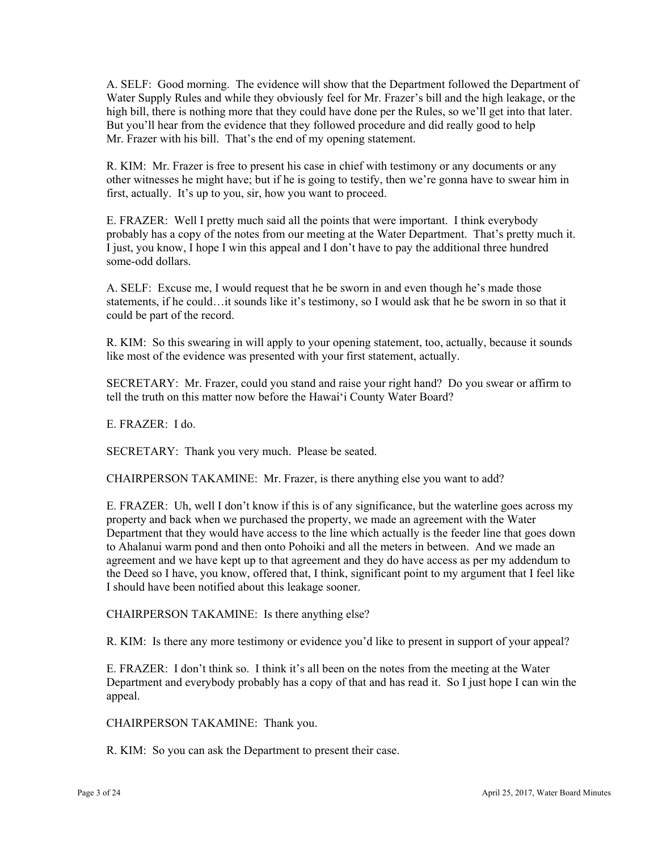A. SELF: Good morning. The evidence will show that the Department followed the Department of Water Supply Rules and while they obviously feel for Mr. Frazer's bill and the high leakage, or the high bill, there is nothing more that they could have done per the Rules, so we'll get into that later. But you'll hear from the evidence that they followed procedure and did really good to help Mr. Frazer with his bill. That's the end of my opening statement.

R. KIM: Mr. Frazer is free to present his case in chief with testimony or any documents or any other witnesses he might have; but if he is going to testify, then we're gonna have to swear him in first, actually. It's up to you, sir, how you want to proceed.

E. FRAZER: Well I pretty much said all the points that were important. I think everybody probably has a copy of the notes from our meeting at the Water Department. That's pretty much it. I just, you know, I hope I win this appeal and I don't have to pay the additional three hundred some-odd dollars.

A. SELF: Excuse me, I would request that he be sworn in and even though he's made those statements, if he could…it sounds like it's testimony, so I would ask that he be sworn in so that it could be part of the record.

R. KIM: So this swearing in will apply to your opening statement, too, actually, because it sounds like most of the evidence was presented with your first statement, actually.

SECRETARY: Mr. Frazer, could you stand and raise your right hand? Do you swear or affirm to tell the truth on this matter now before the Hawai'i County Water Board?

E. FRAZER: I do.

SECRETARY: Thank you very much. Please be seated.

CHAIRPERSON TAKAMINE: Mr. Frazer, is there anything else you want to add?

E. FRAZER: Uh, well I don't know if this is of any significance, but the waterline goes across my property and back when we purchased the property, we made an agreement with the Water Department that they would have access to the line which actually is the feeder line that goes down to Ahalanui warm pond and then onto Pohoiki and all the meters in between. And we made an agreement and we have kept up to that agreement and they do have access as per my addendum to the Deed so I have, you know, offered that, I think, significant point to my argument that I feel like I should have been notified about this leakage sooner.

CHAIRPERSON TAKAMINE: Is there anything else?

R. KIM: Is there any more testimony or evidence you'd like to present in support of your appeal?

E. FRAZER: I don't think so. I think it's all been on the notes from the meeting at the Water Department and everybody probably has a copy of that and has read it. So I just hope I can win the appeal.

CHAIRPERSON TAKAMINE: Thank you.

R. KIM: So you can ask the Department to present their case.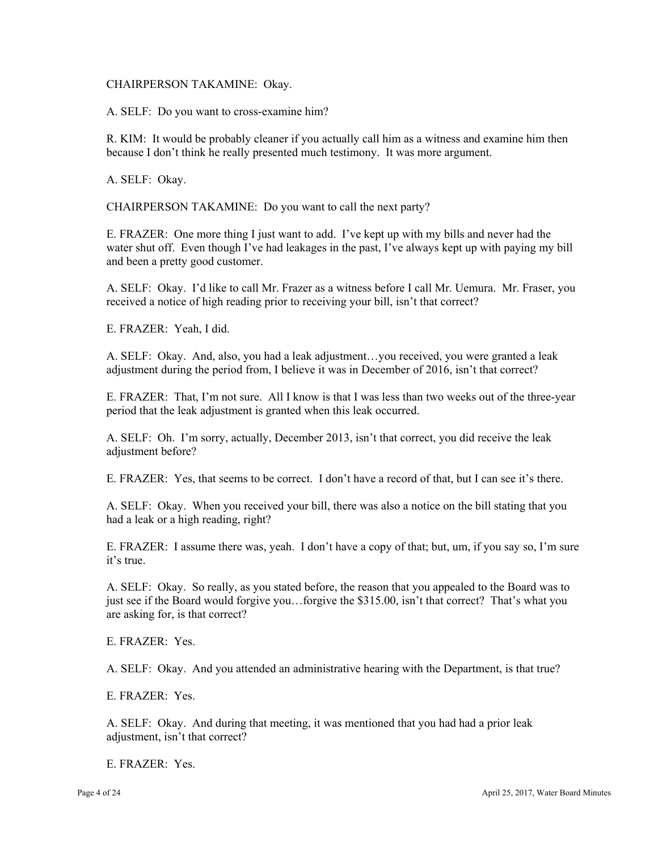### CHAIRPERSON TAKAMINE: Okay.

A. SELF: Do you want to cross-examine him?

R. KIM: It would be probably cleaner if you actually call him as a witness and examine him then because I don't think he really presented much testimony. It was more argument.

A. SELF: Okay.

CHAIRPERSON TAKAMINE: Do you want to call the next party?

E. FRAZER: One more thing I just want to add. I've kept up with my bills and never had the water shut off. Even though I've had leakages in the past, I've always kept up with paying my bill and been a pretty good customer.

A. SELF: Okay. I'd like to call Mr. Frazer as a witness before I call Mr. Uemura. Mr. Fraser, you received a notice of high reading prior to receiving your bill, isn't that correct?

E. FRAZER: Yeah, I did.

A. SELF: Okay. And, also, you had a leak adjustment…you received, you were granted a leak adjustment during the period from, I believe it was in December of 2016, isn't that correct?

E. FRAZER: That, I'm not sure. All I know is that I was less than two weeks out of the three-year period that the leak adjustment is granted when this leak occurred.

A. SELF: Oh. I'm sorry, actually, December 2013, isn't that correct, you did receive the leak adjustment before?

E. FRAZER: Yes, that seems to be correct. I don't have a record of that, but I can see it's there.

A. SELF: Okay. When you received your bill, there was also a notice on the bill stating that you had a leak or a high reading, right?

E. FRAZER: I assume there was, yeah. I don't have a copy of that; but, um, if you say so, I'm sure it's true.

A. SELF: Okay. So really, as you stated before, the reason that you appealed to the Board was to just see if the Board would forgive you…forgive the \$315.00, isn't that correct? That's what you are asking for, is that correct?

E. FRAZER: Yes.

A. SELF: Okay. And you attended an administrative hearing with the Department, is that true?

E. FRAZER: Yes.

A. SELF: Okay. And during that meeting, it was mentioned that you had had a prior leak adjustment, isn't that correct?

E. FRAZER: Yes.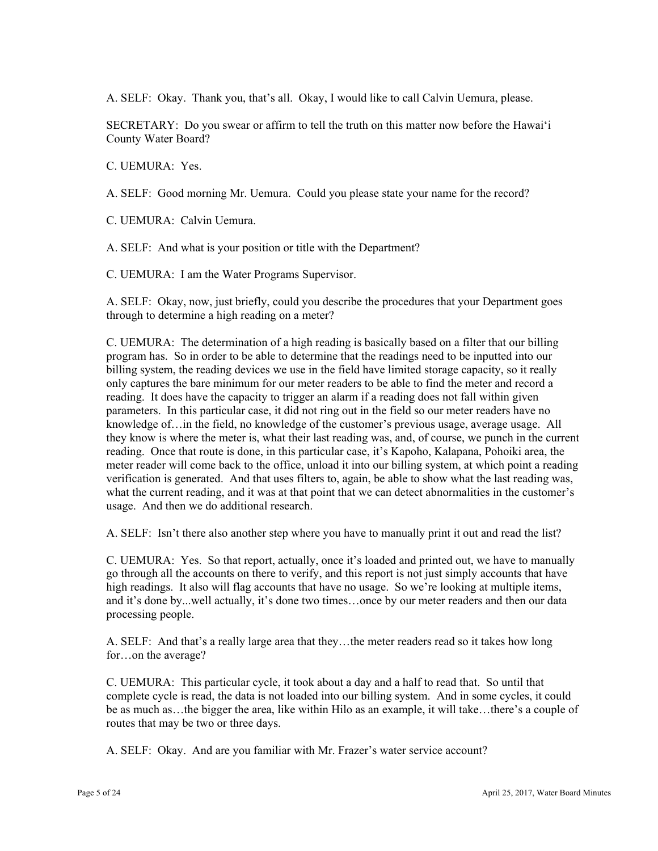A. SELF: Okay. Thank you, that's all. Okay, I would like to call Calvin Uemura, please.

SECRETARY: Do you swear or affirm to tell the truth on this matter now before the Hawai'i County Water Board?

C. UEMURA: Yes.

A. SELF: Good morning Mr. Uemura. Could you please state your name for the record?

C. UEMURA: Calvin Uemura.

A. SELF: And what is your position or title with the Department?

C. UEMURA: I am the Water Programs Supervisor.

A. SELF: Okay, now, just briefly, could you describe the procedures that your Department goes through to determine a high reading on a meter?

C. UEMURA: The determination of a high reading is basically based on a filter that our billing program has. So in order to be able to determine that the readings need to be inputted into our billing system, the reading devices we use in the field have limited storage capacity, so it really only captures the bare minimum for our meter readers to be able to find the meter and record a reading. It does have the capacity to trigger an alarm if a reading does not fall within given parameters. In this particular case, it did not ring out in the field so our meter readers have no knowledge of…in the field, no knowledge of the customer's previous usage, average usage. All they know is where the meter is, what their last reading was, and, of course, we punch in the current reading. Once that route is done, in this particular case, it's Kapoho, Kalapana, Pohoiki area, the meter reader will come back to the office, unload it into our billing system, at which point a reading verification is generated. And that uses filters to, again, be able to show what the last reading was, what the current reading, and it was at that point that we can detect abnormalities in the customer's usage. And then we do additional research.

A. SELF: Isn't there also another step where you have to manually print it out and read the list?

C. UEMURA: Yes. So that report, actually, once it's loaded and printed out, we have to manually go through all the accounts on there to verify, and this report is not just simply accounts that have high readings. It also will flag accounts that have no usage. So we're looking at multiple items, and it's done by...well actually, it's done two times…once by our meter readers and then our data processing people.

A. SELF: And that's a really large area that they…the meter readers read so it takes how long for…on the average?

C. UEMURA: This particular cycle, it took about a day and a half to read that. So until that complete cycle is read, the data is not loaded into our billing system. And in some cycles, it could be as much as…the bigger the area, like within Hilo as an example, it will take…there's a couple of routes that may be two or three days.

A. SELF: Okay. And are you familiar with Mr. Frazer's water service account?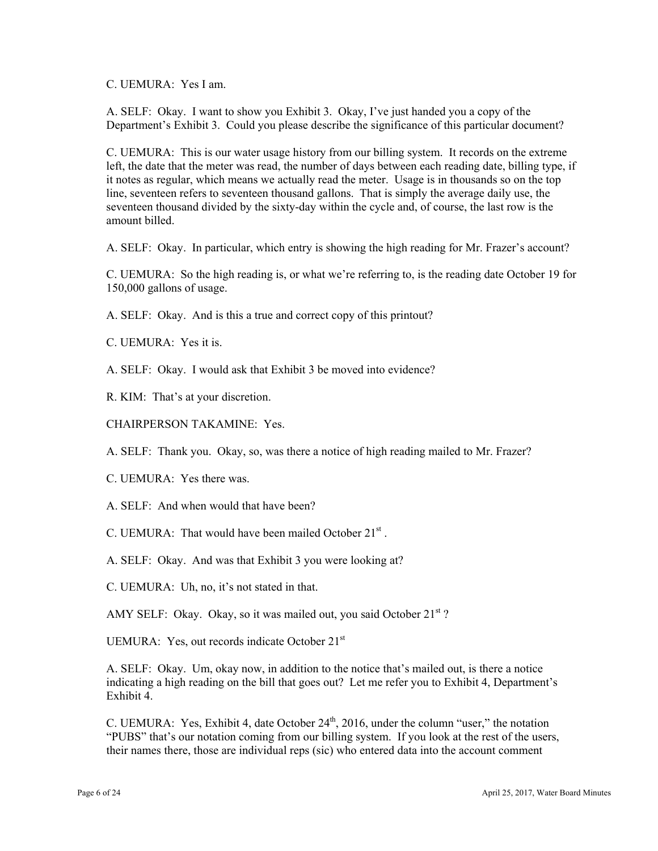C. UEMURA: Yes I am.

A. SELF: Okay. I want to show you Exhibit 3. Okay, I've just handed you a copy of the Department's Exhibit 3. Could you please describe the significance of this particular document?

C. UEMURA: This is our water usage history from our billing system. It records on the extreme left, the date that the meter was read, the number of days between each reading date, billing type, if it notes as regular, which means we actually read the meter. Usage is in thousands so on the top line, seventeen refers to seventeen thousand gallons. That is simply the average daily use, the seventeen thousand divided by the sixty-day within the cycle and, of course, the last row is the amount billed.

A. SELF: Okay. In particular, which entry is showing the high reading for Mr. Frazer's account?

C. UEMURA: So the high reading is, or what we're referring to, is the reading date October 19 for 150,000 gallons of usage.

A. SELF: Okay. And is this a true and correct copy of this printout?

C. UEMURA: Yes it is.

A. SELF: Okay. I would ask that Exhibit 3 be moved into evidence?

R. KIM: That's at your discretion.

CHAIRPERSON TAKAMINE: Yes.

A. SELF: Thank you. Okay, so, was there a notice of high reading mailed to Mr. Frazer?

- C. UEMURA: Yes there was.
- A.  $SELF$ : And when would that have been?

C. UEMURA: That would have been mailed October  $21<sup>st</sup>$ .

A. SELF: Okay. And was that Exhibit 3 you were looking at?

C. UEMURA: Uh, no, it's not stated in that.

AMY SELF: Okay. Okay, so it was mailed out, you said October  $21<sup>st</sup>$ ?

UEMURA: Yes, out records indicate October 21<sup>st</sup>

A. SELF: Okay. Um, okay now, in addition to the notice that's mailed out, is there a notice indicating a high reading on the bill that goes out? Let me refer you to Exhibit 4, Department's Exhibit 4.

C. UEMURA: Yes, Exhibit 4, date October  $24<sup>th</sup>$ , 2016, under the column "user," the notation "PUBS" that's our notation coming from our billing system. If you look at the rest of the users, their names there, those are individual reps (sic) who entered data into the account comment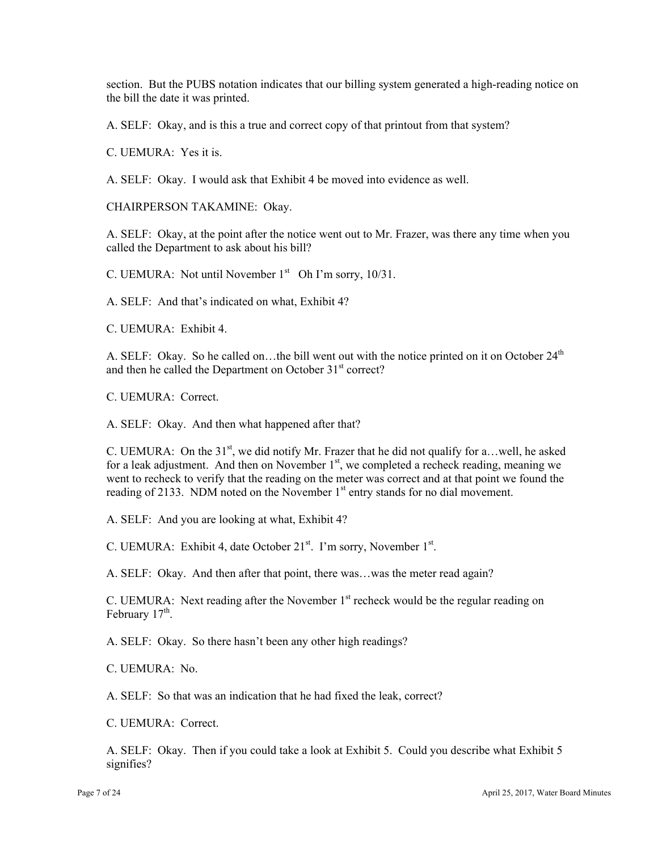section. But the PUBS notation indicates that our billing system generated a high-reading notice on the bill the date it was printed.

A. SELF: Okay, and is this a true and correct copy of that printout from that system?

C. UEMURA: Yes it is.

A. SELF: Okay. I would ask that Exhibit 4 be moved into evidence as well.

CHAIRPERSON TAKAMINE: Okay.

A. SELF: Okay, at the point after the notice went out to Mr. Frazer, was there any time when you called the Department to ask about his bill?

C. UEMURA: Not until November  $1<sup>st</sup>$  Oh I'm sorry, 10/31.

A. SELF: And that's indicated on what, Exhibit 4?

C. UEMURA: Exhibit 4.

A. SELF: Okay. So he called on...the bill went out with the notice printed on it on October 24<sup>th</sup> and then he called the Department on October 31<sup>st</sup> correct?

C. UEMURA: Correct.

A. SELF: Okay. And then what happened after that?

C. UEMURA: On the 31<sup>st</sup>, we did notify Mr. Frazer that he did not qualify for a... well, he asked for a leak adjustment. And then on November 1<sup>st</sup>, we completed a recheck reading, meaning we went to recheck to verify that the reading on the meter was correct and at that point we found the reading of 2133. NDM noted on the November  $1<sup>st</sup>$  entry stands for no dial movement.

A. SELF: And you are looking at what, Exhibit 4?

C. UEMURA: Exhibit 4, date October 21<sup>st</sup>. I'm sorry, November 1<sup>st</sup>.

A. SELF: Okay. And then after that point, there was…was the meter read again?

C. UEMURA: Next reading after the November  $1<sup>st</sup>$  recheck would be the regular reading on February  $17<sup>th</sup>$ .

A. SELF: Okay. So there hasn't been any other high readings?

C. UEMURA: No.

A. SELF: So that was an indication that he had fixed the leak, correct?

C. UEMURA: Correct.

A. SELF: Okay. Then if you could take a look at Exhibit 5. Could you describe what Exhibit 5 signifies?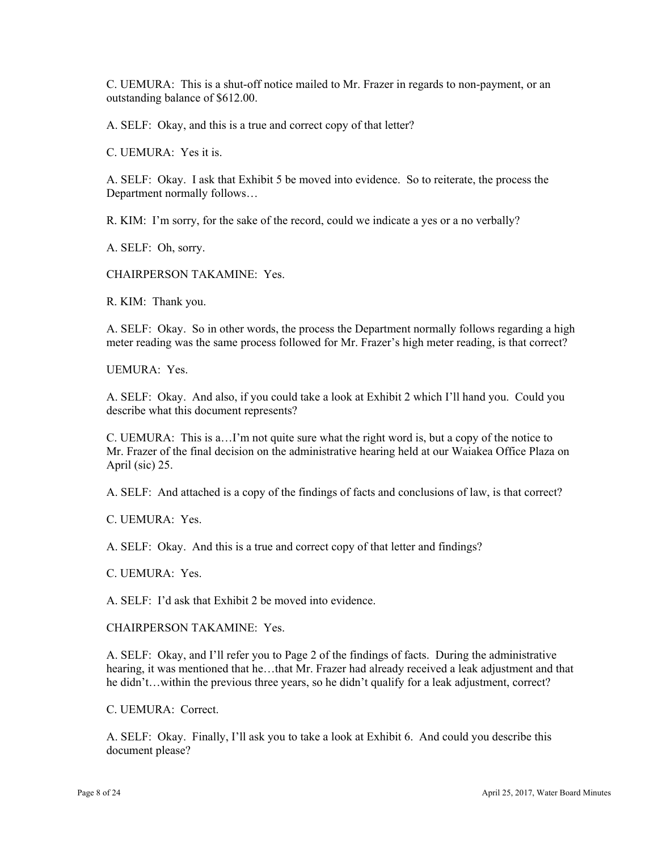C. UEMURA: This is a shut-off notice mailed to Mr. Frazer in regards to non-payment, or an outstanding balance of \$612.00.

A. SELF: Okay, and this is a true and correct copy of that letter?

C. UEMURA: Yes it is.

A. SELF: Okay. I ask that Exhibit 5 be moved into evidence. So to reiterate, the process the Department normally follows…

R. KIM: I'm sorry, for the sake of the record, could we indicate a yes or a no verbally?

A. SELF: Oh, sorry.

CHAIRPERSON TAKAMINE: Yes.

R. KIM: Thank you.

A. SELF: Okay. So in other words, the process the Department normally follows regarding a high meter reading was the same process followed for Mr. Frazer's high meter reading, is that correct?

UEMURA: Yes.

A. SELF: Okay. And also, if you could take a look at Exhibit 2 which I'll hand you. Could you describe what this document represents?

C. UEMURA: This is a…I'm not quite sure what the right word is, but a copy of the notice to Mr. Frazer of the final decision on the administrative hearing held at our Waiakea Office Plaza on April (sic) 25.

A. SELF: And attached is a copy of the findings of facts and conclusions of law, is that correct?

C. UEMURA: Yes.

A. SELF: Okay. And this is a true and correct copy of that letter and findings?

C. UEMURA: Yes.

A. SELF: I'd ask that Exhibit 2 be moved into evidence.

CHAIRPERSON TAKAMINE: Yes.

A. SELF: Okay, and I'll refer you to Page 2 of the findings of facts. During the administrative hearing, it was mentioned that he…that Mr. Frazer had already received a leak adjustment and that he didn't…within the previous three years, so he didn't qualify for a leak adjustment, correct?

C. UEMURA: Correct.

A. SELF: Okay. Finally, I'll ask you to take a look at Exhibit 6. And could you describe this document please?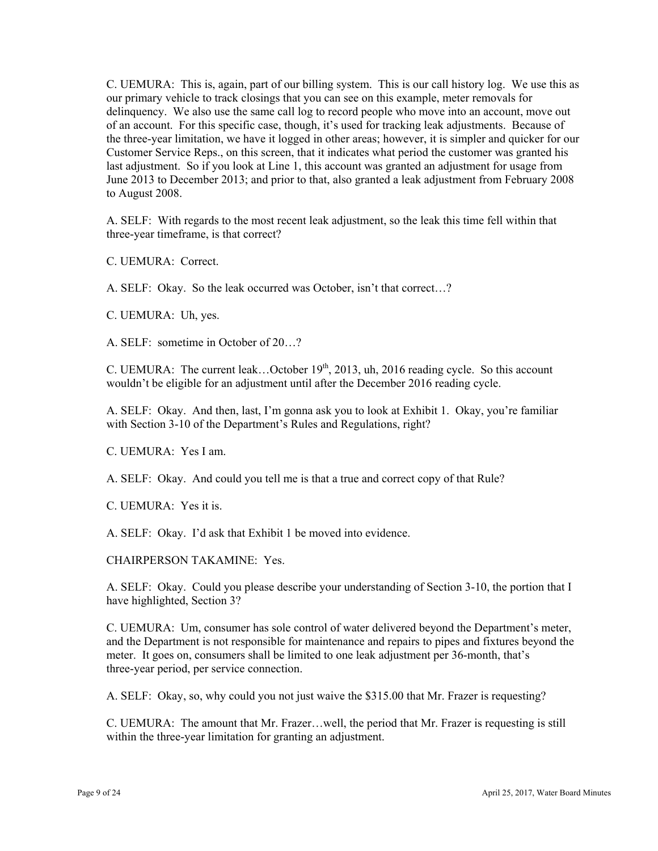C. UEMURA: This is, again, part of our billing system. This is our call history log. We use this as our primary vehicle to track closings that you can see on this example, meter removals for delinquency. We also use the same call log to record people who move into an account, move out of an account. For this specific case, though, it's used for tracking leak adjustments. Because of the three-year limitation, we have it logged in other areas; however, it is simpler and quicker for our Customer Service Reps., on this screen, that it indicates what period the customer was granted his last adjustment. So if you look at Line 1, this account was granted an adjustment for usage from June 2013 to December 2013; and prior to that, also granted a leak adjustment from February 2008 to August 2008.

A. SELF: With regards to the most recent leak adjustment, so the leak this time fell within that three-year timeframe, is that correct?

C. UEMURA: Correct.

A. SELF: Okay. So the leak occurred was October, isn't that correct…?

C. UEMURA: Uh, yes.

A. SELF: sometime in October of 20…?

C. UEMURA: The current leak...October  $19<sup>th</sup>$ , 2013, uh, 2016 reading cycle. So this account wouldn't be eligible for an adjustment until after the December 2016 reading cycle.

A. SELF: Okay. And then, last, I'm gonna ask you to look at Exhibit 1. Okay, you're familiar with Section 3-10 of the Department's Rules and Regulations, right?

C. UEMURA: Yes I am.

A. SELF: Okay. And could you tell me is that a true and correct copy of that Rule?

C. UEMURA: Yes it is.

A. SELF: Okay. I'd ask that Exhibit 1 be moved into evidence.

CHAIRPERSON TAKAMINE: Yes.

A. SELF: Okay. Could you please describe your understanding of Section 3-10, the portion that I have highlighted, Section 3?

C. UEMURA: Um, consumer has sole control of water delivered beyond the Department's meter, and the Department is not responsible for maintenance and repairs to pipes and fixtures beyond the meter. It goes on, consumers shall be limited to one leak adjustment per 36-month, that's three-year period, per service connection.

A. SELF: Okay, so, why could you not just waive the \$315.00 that Mr. Frazer is requesting?

C. UEMURA: The amount that Mr. Frazer…well, the period that Mr. Frazer is requesting is still within the three-year limitation for granting an adjustment.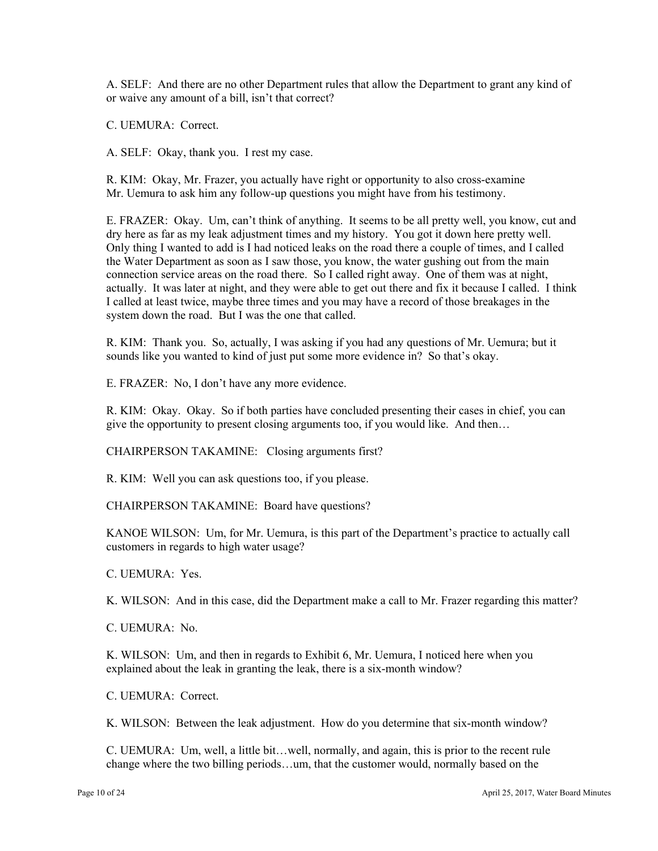A. SELF: And there are no other Department rules that allow the Department to grant any kind of or waive any amount of a bill, isn't that correct?

C. UEMURA: Correct.

A. SELF: Okay, thank you. I rest my case.

R. KIM: Okay, Mr. Frazer, you actually have right or opportunity to also cross-examine Mr. Uemura to ask him any follow-up questions you might have from his testimony.

E. FRAZER: Okay. Um, can't think of anything. It seems to be all pretty well, you know, cut and dry here as far as my leak adjustment times and my history. You got it down here pretty well. Only thing I wanted to add is I had noticed leaks on the road there a couple of times, and I called the Water Department as soon as I saw those, you know, the water gushing out from the main connection service areas on the road there. So I called right away. One of them was at night, actually. It was later at night, and they were able to get out there and fix it because I called. I think I called at least twice, maybe three times and you may have a record of those breakages in the system down the road. But I was the one that called.

R. KIM: Thank you. So, actually, I was asking if you had any questions of Mr. Uemura; but it sounds like you wanted to kind of just put some more evidence in? So that's okay.

E. FRAZER: No, I don't have any more evidence.

R. KIM: Okay. Okay. So if both parties have concluded presenting their cases in chief, you can give the opportunity to present closing arguments too, if you would like. And then…

CHAIRPERSON TAKAMINE: Closing arguments first?

R. KIM: Well you can ask questions too, if you please.

CHAIRPERSON TAKAMINE: Board have questions?

KANOE WILSON: Um, for Mr. Uemura, is this part of the Department's practice to actually call customers in regards to high water usage?

C. UEMURA: Yes.

K. WILSON: And in this case, did the Department make a call to Mr. Frazer regarding this matter?

C. UEMURA: No.

K. WILSON: Um, and then in regards to Exhibit 6, Mr. Uemura, I noticed here when you explained about the leak in granting the leak, there is a six-month window?

C. UEMURA: Correct.

K. WILSON: Between the leak adjustment. How do you determine that six-month window?

C. UEMURA: Um, well, a little bit…well, normally, and again, this is prior to the recent rule change where the two billing periods…um, that the customer would, normally based on the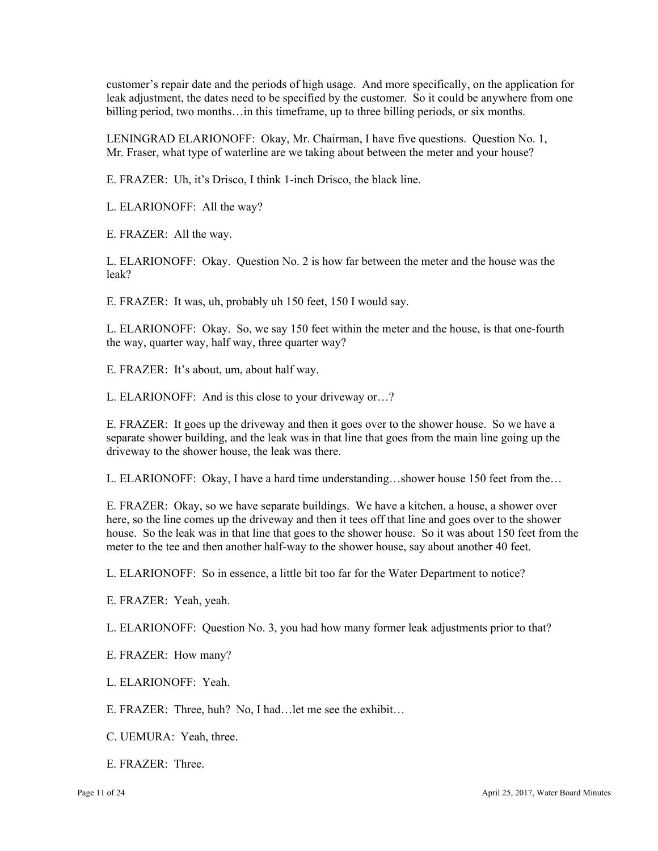customer's repair date and the periods of high usage. And more specifically, on the application for leak adjustment, the dates need to be specified by the customer. So it could be anywhere from one billing period, two months…in this timeframe, up to three billing periods, or six months.

LENINGRAD ELARIONOFF: Okay, Mr. Chairman, I have five questions. Question No. 1, Mr. Fraser, what type of waterline are we taking about between the meter and your house?

E. FRAZER: Uh, it's Drisco, I think 1-inch Drisco, the black line.

L. ELARIONOFF: All the way?

E. FRAZER: All the way.

L. ELARIONOFF: Okay. Question No. 2 is how far between the meter and the house was the leak?

E. FRAZER: It was, uh, probably uh 150 feet, 150 I would say.

L. ELARIONOFF: Okay. So, we say 150 feet within the meter and the house, is that one-fourth the way, quarter way, half way, three quarter way?

E. FRAZER: It's about, um, about half way.

L. ELARIONOFF: And is this close to your driveway or…?

E. FRAZER: It goes up the driveway and then it goes over to the shower house. So we have a separate shower building, and the leak was in that line that goes from the main line going up the driveway to the shower house, the leak was there.

L. ELARIONOFF: Okay, I have a hard time understanding…shower house 150 feet from the…

E. FRAZER: Okay, so we have separate buildings. We have a kitchen, a house, a shower over here, so the line comes up the driveway and then it tees off that line and goes over to the shower house. So the leak was in that line that goes to the shower house. So it was about 150 feet from the meter to the tee and then another half-way to the shower house, say about another 40 feet.

L. ELARIONOFF: So in essence, a little bit too far for the Water Department to notice?

E. FRAZER: Yeah, yeah.

L. ELARIONOFF: Question No. 3, you had how many former leak adjustments prior to that?

E. FRAZER: How many?

L. ELARIONOFF: Yeah.

E. FRAZER: Three, huh? No, I had…let me see the exhibit…

C. UEMURA: Yeah, three.

 $E$ . FRAZER $\cdot$  Three.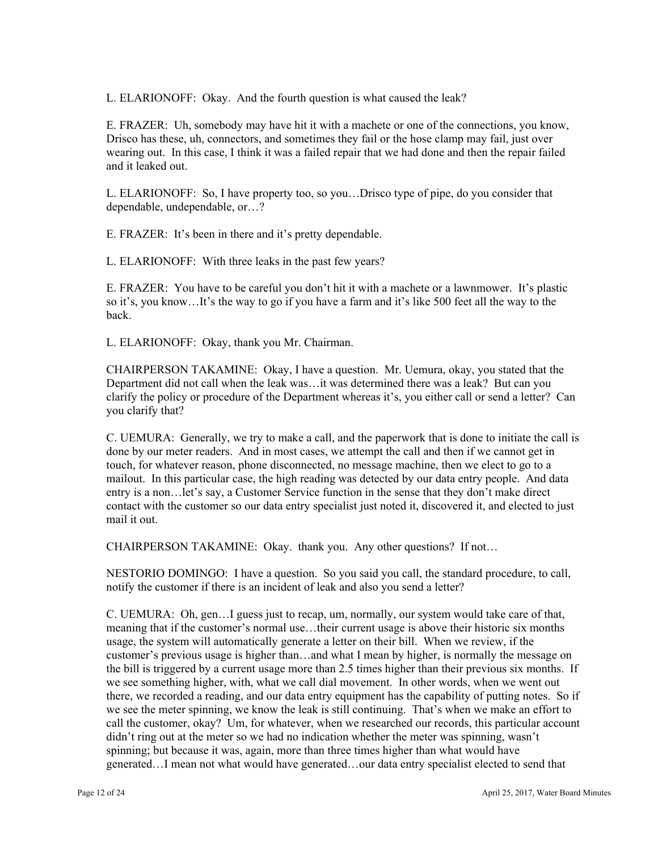L. ELARIONOFF: Okay. And the fourth question is what caused the leak?

E. FRAZER: Uh, somebody may have hit it with a machete or one of the connections, you know, Drisco has these, uh, connectors, and sometimes they fail or the hose clamp may fail, just over wearing out. In this case, I think it was a failed repair that we had done and then the repair failed and it leaked out.

L. ELARIONOFF: So, I have property too, so you…Drisco type of pipe, do you consider that dependable, undependable, or…?

E. FRAZER: It's been in there and it's pretty dependable.

L. ELARIONOFF: With three leaks in the past few years?

E. FRAZER: You have to be careful you don't hit it with a machete or a lawnmower. It's plastic so it's, you know…It's the way to go if you have a farm and it's like 500 feet all the way to the back.

L. ELARIONOFF: Okay, thank you Mr. Chairman.

CHAIRPERSON TAKAMINE: Okay, I have a question. Mr. Uemura, okay, you stated that the Department did not call when the leak was…it was determined there was a leak? But can you clarify the policy or procedure of the Department whereas it's, you either call or send a letter? Can you clarify that?

C. UEMURA: Generally, we try to make a call, and the paperwork that is done to initiate the call is done by our meter readers. And in most cases, we attempt the call and then if we cannot get in touch, for whatever reason, phone disconnected, no message machine, then we elect to go to a mailout. In this particular case, the high reading was detected by our data entry people. And data entry is a non…let's say, a Customer Service function in the sense that they don't make direct contact with the customer so our data entry specialist just noted it, discovered it, and elected to just mail it out.

CHAIRPERSON TAKAMINE: Okay. thank you. Any other questions? If not…

NESTORIO DOMINGO: I have a question. So you said you call, the standard procedure, to call, notify the customer if there is an incident of leak and also you send a letter?

C. UEMURA: Oh, gen…I guess just to recap, um, normally, our system would take care of that, meaning that if the customer's normal use…their current usage is above their historic six months usage, the system will automatically generate a letter on their bill. When we review, if the customer's previous usage is higher than…and what I mean by higher, is normally the message on the bill is triggered by a current usage more than 2.5 times higher than their previous six months. If we see something higher, with, what we call dial movement. In other words, when we went out there, we recorded a reading, and our data entry equipment has the capability of putting notes. So if we see the meter spinning, we know the leak is still continuing. That's when we make an effort to call the customer, okay? Um, for whatever, when we researched our records, this particular account didn't ring out at the meter so we had no indication whether the meter was spinning, wasn't spinning; but because it was, again, more than three times higher than what would have generated…I mean not what would have generated…our data entry specialist elected to send that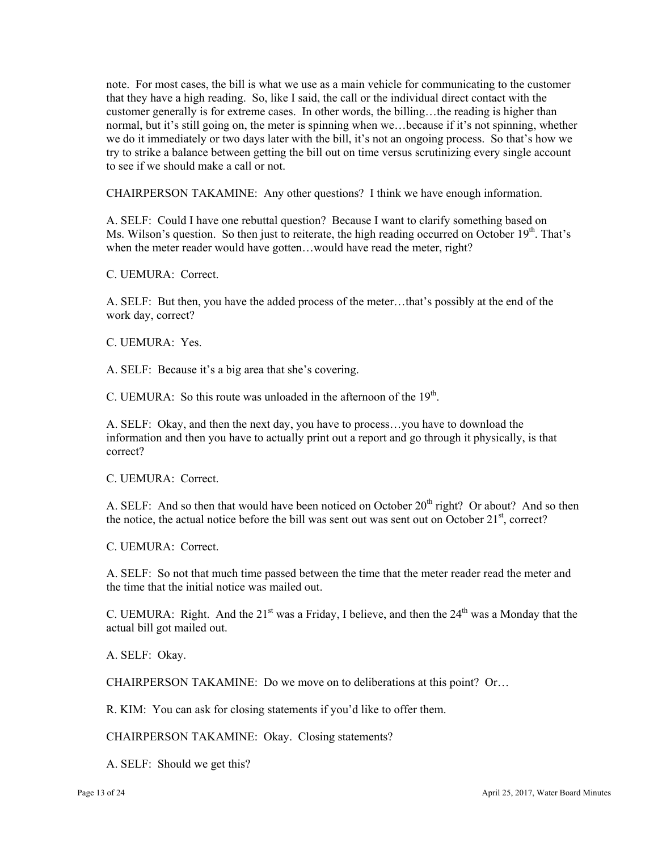note. For most cases, the bill is what we use as a main vehicle for communicating to the customer that they have a high reading. So, like I said, the call or the individual direct contact with the customer generally is for extreme cases. In other words, the billing…the reading is higher than normal, but it's still going on, the meter is spinning when we…because if it's not spinning, whether we do it immediately or two days later with the bill, it's not an ongoing process. So that's how we try to strike a balance between getting the bill out on time versus scrutinizing every single account to see if we should make a call or not.

CHAIRPERSON TAKAMINE: Any other questions? I think we have enough information.

A. SELF: Could I have one rebuttal question? Because I want to clarify something based on Ms. Wilson's question. So then just to reiterate, the high reading occurred on October  $19<sup>th</sup>$ . That's when the meter reader would have gotten...would have read the meter, right?

C. UEMURA: Correct.

A. SELF: But then, you have the added process of the meter…that's possibly at the end of the work day, correct?

C. UEMURA: Yes.

A. SELF: Because it's a big area that she's covering.

C. UEMURA: So this route was unloaded in the afternoon of the  $19<sup>th</sup>$ .

A. SELF: Okay, and then the next day, you have to process…you have to download the information and then you have to actually print out a report and go through it physically, is that correct?

C. UEMURA: Correct.

A. SELF: And so then that would have been noticed on October  $20<sup>th</sup>$  right? Or about? And so then the notice, the actual notice before the bill was sent out was sent out on October  $21<sup>st</sup>$ , correct?

C. UEMURA: Correct.

A. SELF: So not that much time passed between the time that the meter reader read the meter and the time that the initial notice was mailed out.

C. UEMURA: Right. And the  $21^{st}$  was a Friday, I believe, and then the  $24^{th}$  was a Monday that the actual bill got mailed out.

A. SELF: Okay.

CHAIRPERSON TAKAMINE: Do we move on to deliberations at this point? Or…

R. KIM: You can ask for closing statements if you'd like to offer them.

CHAIRPERSON TAKAMINE: Okay. Closing statements?

A. SELF: Should we get this?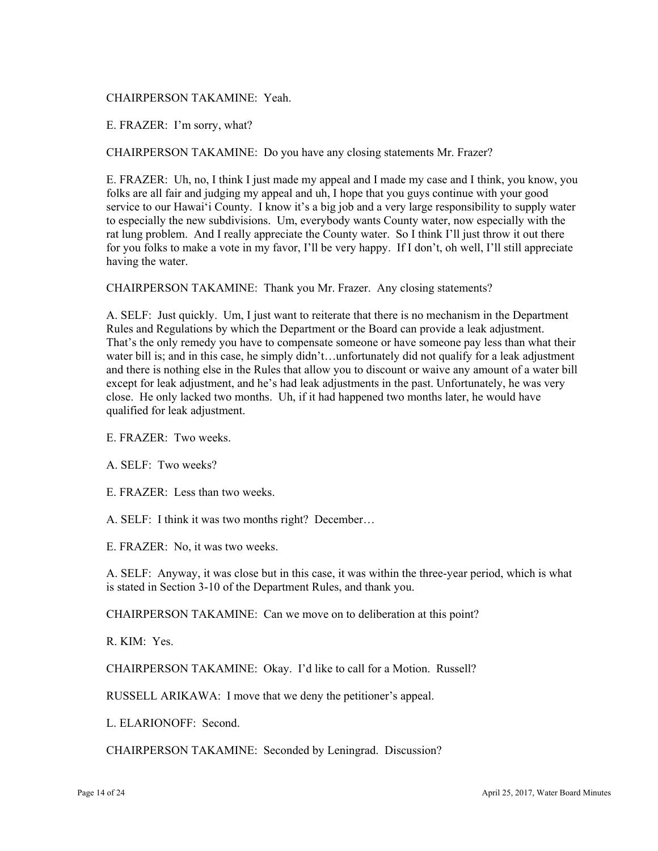# CHAIRPERSON TAKAMINE: Yeah.

E. FRAZER: I'm sorry, what?

CHAIRPERSON TAKAMINE: Do you have any closing statements Mr. Frazer?

E. FRAZER: Uh, no, I think I just made my appeal and I made my case and I think, you know, you folks are all fair and judging my appeal and uh, I hope that you guys continue with your good service to our Hawai'i County. I know it's a big job and a very large responsibility to supply water to especially the new subdivisions. Um, everybody wants County water, now especially with the rat lung problem. And I really appreciate the County water. So I think I'll just throw it out there for you folks to make a vote in my favor, I'll be very happy. If I don't, oh well, I'll still appreciate having the water.

CHAIRPERSON TAKAMINE: Thank you Mr. Frazer. Any closing statements?

Rules and Regulations by which the Department or the Board can provide a leak adjustment. A. SELF: Just quickly. Um, I just want to reiterate that there is no mechanism in the Department That's the only remedy you have to compensate someone or have someone pay less than what their water bill is; and in this case, he simply didn't…unfortunately did not qualify for a leak adjustment and there is nothing else in the Rules that allow you to discount or waive any amount of a water bill except for leak adjustment, and he's had leak adjustments in the past. Unfortunately, he was very close. He only lacked two months. Uh, if it had happened two months later, he would have qualified for leak adjustment.

E. FRAZER: Two weeks.

A. SELF: Two weeks?

E. FRAZER: Less than two weeks.

A. SELF: I think it was two months right? December…

E. FRAZER: No, it was two weeks.

A. SELF: Anyway, it was close but in this case, it was within the three-year period, which is what is stated in Section 3-10 of the Department Rules, and thank you.

CHAIRPERSON TAKAMINE: Can we move on to deliberation at this point?

R. KIM: Yes.

CHAIRPERSON TAKAMINE: Okay. I'd like to call for a Motion. Russell?

RUSSELL ARIKAWA: I move that we deny the petitioner's appeal.

L. ELARIONOFF: Second.

CHAIRPERSON TAKAMINE: Seconded by Leningrad. Discussion?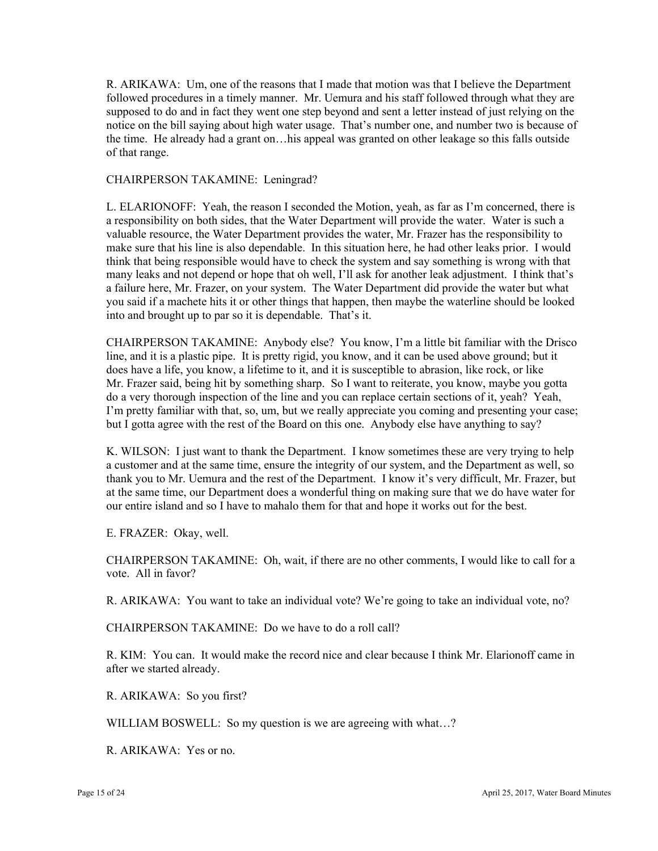R. ARIKAWA: Um, one of the reasons that I made that motion was that I believe the Department followed procedures in a timely manner. Mr. Uemura and his staff followed through what they are supposed to do and in fact they went one step beyond and sent a letter instead of just relying on the notice on the bill saying about high water usage. That's number one, and number two is because of the time. He already had a grant on…his appeal was granted on other leakage so this falls outside of that range.

### CHAIRPERSON TAKAMINE: Leningrad?

L. ELARIONOFF: Yeah, the reason I seconded the Motion, yeah, as far as I'm concerned, there is a responsibility on both sides, that the Water Department will provide the water. Water is such a valuable resource, the Water Department provides the water, Mr. Frazer has the responsibility to make sure that his line is also dependable. In this situation here, he had other leaks prior. I would think that being responsible would have to check the system and say something is wrong with that many leaks and not depend or hope that oh well, I'll ask for another leak adjustment. I think that's a failure here, Mr. Frazer, on your system. The Water Department did provide the water but what you said if a machete hits it or other things that happen, then maybe the waterline should be looked into and brought up to par so it is dependable. That's it.

CHAIRPERSON TAKAMINE: Anybody else? You know, I'm a little bit familiar with the Drisco line, and it is a plastic pipe. It is pretty rigid, you know, and it can be used above ground; but it does have a life, you know, a lifetime to it, and it is susceptible to abrasion, like rock, or like Mr. Frazer said, being hit by something sharp. So I want to reiterate, you know, maybe you gotta do a very thorough inspection of the line and you can replace certain sections of it, yeah? Yeah, I'm pretty familiar with that, so, um, but we really appreciate you coming and presenting your case; but I gotta agree with the rest of the Board on this one. Anybody else have anything to say?

K. WILSON: I just want to thank the Department. I know sometimes these are very trying to help a customer and at the same time, ensure the integrity of our system, and the Department as well, so thank you to Mr. Uemura and the rest of the Department. I know it's very difficult, Mr. Frazer, but at the same time, our Department does a wonderful thing on making sure that we do have water for our entire island and so I have to mahalo them for that and hope it works out for the best.

E. FRAZER: Okay, well.

CHAIRPERSON TAKAMINE: Oh, wait, if there are no other comments, I would like to call for a vote. All in favor?

R. ARIKAWA: You want to take an individual vote? We're going to take an individual vote, no?

CHAIRPERSON TAKAMINE: Do we have to do a roll call?

R. KIM: You can. It would make the record nice and clear because I think Mr. Elarionoff came in after we started already.

R. ARIKAWA: So you first?

WILLIAM BOSWELL: So my question is we are agreeing with what...?

R. ARIKAWA: Yes or no.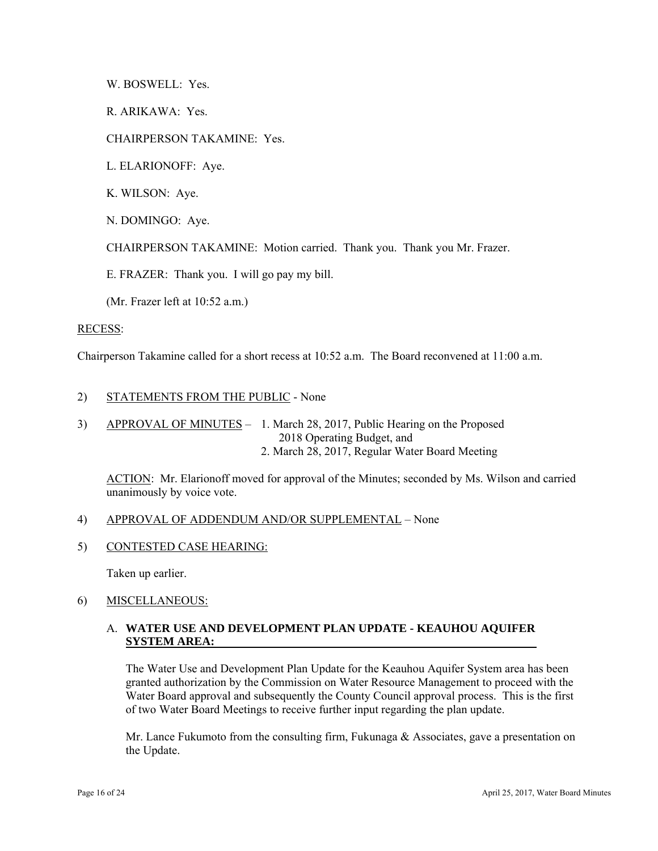W. BOSWELL: Yes.

R. ARIKAWA: Yes.

CHAIRPERSON TAKAMINE: Yes.

L. ELARIONOFF: Aye.

K. WILSON: Aye.

N. DOMINGO: Aye.

CHAIRPERSON TAKAMINE: Motion carried. Thank you. Thank you Mr. Frazer.

E. FRAZER: Thank you. I will go pay my bill.

(Mr. Frazer left at 10:52 a.m.)

### RECESS:

Chairperson Takamine called for a short recess at 10:52 a.m. The Board reconvened at 11:00 a.m.

### 2) STATEMENTS FROM THE PUBLIC - None

3) APPROVAL OF MINUTES – 1. March 28, 2017, Public Hearing on the Proposed 2018 Operating Budget, and 2. March 28, 2017, Regular Water Board Meeting

ACTION: Mr. Elarionoff moved for approval of the Minutes; seconded by Ms. Wilson and carried unanimously by voice vote.

### 4) APPROVAL OF ADDENDUM AND/OR SUPPLEMENTAL - None

5) CONTESTED CASE HEARING:

Taken up earlier.

## 6) MISCELLANEOUS:

## A. **WATER USE AND DEVELOPMENT PLAN UPDATE - KEAUHOU AQUIFER SYSTEM AREA:**

The Water Use and Development Plan Update for the Keauhou Aquifer System area has been granted authorization by the Commission on Water Resource Management to proceed with the Water Board approval and subsequently the County Council approval process. This is the first of two Water Board Meetings to receive further input regarding the plan update.

Mr. Lance Fukumoto from the consulting firm, Fukunaga  $\&$  Associates, gave a presentation on the Update.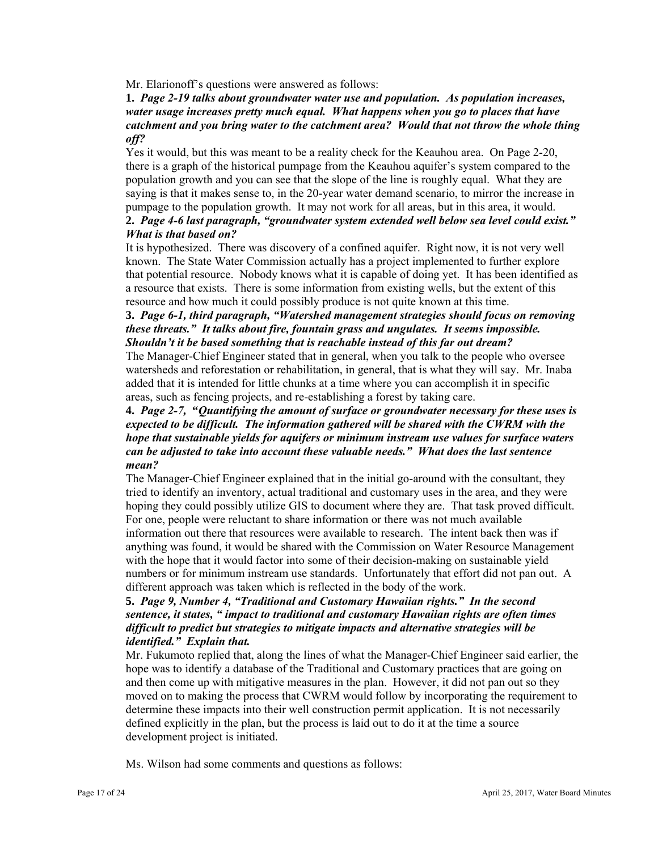Mr. Elarionoff's questions were answered as follows:

### **1.** *Page 2-19 talks about groundwater water use and population. As population increases, water usage increases pretty much equal. What happens when you go to places that have catchment and you bring water to the catchment area? Would that not throw the whole thing off?*

Yes it would, but this was meant to be a reality check for the Keauhou area. On Page 2-20, there is a graph of the historical pumpage from the Keauhou aquifer's system compared to the population growth and you can see that the slope of the line is roughly equal. What they are saying is that it makes sense to, in the 20-year water demand scenario, to mirror the increase in pumpage to the population growth. It may not work for all areas, but in this area, it would.

# **2.** *Page 4-6 last paragraph, "groundwater system extended well below sea level could exist." What is that based on?*

It is hypothesized. There was discovery of a confined aquifer. Right now, it is not very well known. The State Water Commission actually has a project implemented to further explore that potential resource. Nobody knows what it is capable of doing yet. It has been identified as a resource that exists. There is some information from existing wells, but the extent of this resource and how much it could possibly produce is not quite known at this time.

# **3.** *Page 6-1, third paragraph, "Watershed management strategies should focus on removing these threats." It talks about fire, fountain grass and ungulates. It seems impossible. Shouldn't it be based something that is reachable instead of this far out dream?*

The Manager-Chief Engineer stated that in general, when you talk to the people who oversee watersheds and reforestation or rehabilitation, in general, that is what they will say. Mr. Inaba added that it is intended for little chunks at a time where you can accomplish it in specific areas, such as fencing projects, and re-establishing a forest by taking care.

# **4.** *Page 2-7,* **"***Quantifying the amount of surface or groundwater necessary for these uses is expected to be difficult. The information gathered will be shared with the CWRM with the hope that sustainable yields for aquifers or minimum instream use values for surface waters can be adjusted to take into account these valuable needs." What does the last sentence mean?*

The Manager-Chief Engineer explained that in the initial go-around with the consultant, they tried to identify an inventory, actual traditional and customary uses in the area, and they were hoping they could possibly utilize GIS to document where they are. That task proved difficult. For one, people were reluctant to share information or there was not much available information out there that resources were available to research. The intent back then was if anything was found, it would be shared with the Commission on Water Resource Management with the hope that it would factor into some of their decision-making on sustainable yield numbers or for minimum instream use standards. Unfortunately that effort did not pan out. A different approach was taken which is reflected in the body of the work.

# **5.** *Page 9, Number 4, "Traditional and Customary Hawaiian rights." In the second sentence, it states, " impact to traditional and customary Hawaiian rights are often times difficult to predict but strategies to mitigate impacts and alternative strategies will be identified." Explain that.*

Mr. Fukumoto replied that, along the lines of what the Manager-Chief Engineer said earlier, the hope was to identify a database of the Traditional and Customary practices that are going on and then come up with mitigative measures in the plan. However, it did not pan out so they moved on to making the process that CWRM would follow by incorporating the requirement to determine these impacts into their well construction permit application. It is not necessarily defined explicitly in the plan, but the process is laid out to do it at the time a source development project is initiated.

Ms. Wilson had some comments and questions as follows: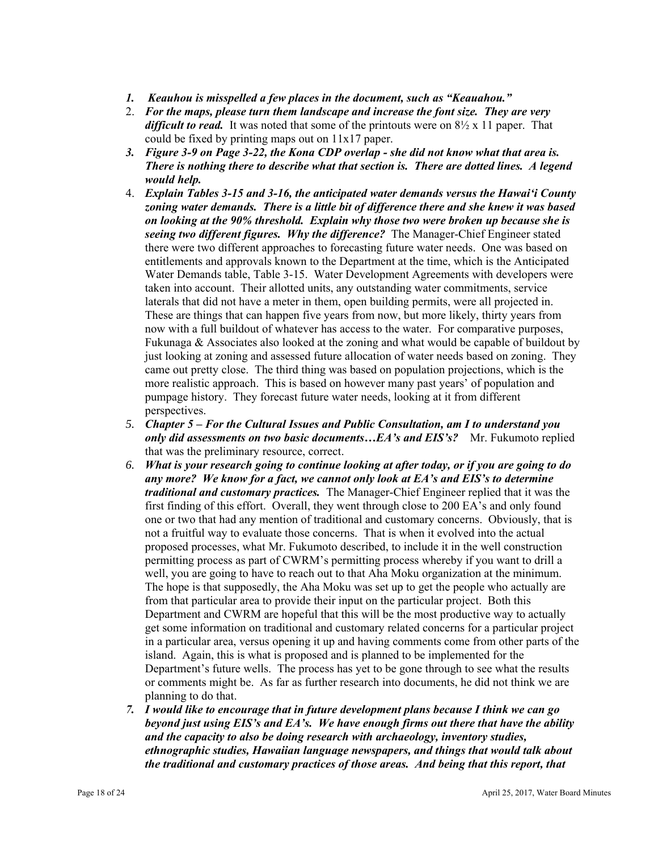- *1. Keauhou is misspelled a few places in the document, such as "Keauahou."*
- 2. For the maps, please turn them landscape and increase the font size. They are very *difficult to read.* It was noted that some of the printouts were on  $8\frac{1}{2}$  x 11 paper. That could be fixed by printing maps out on 11x17 paper.
- *3. Figure 3-9 on Page 3-22, the Kona CDP overlap she did not know what that area is. There is nothing there to describe what that section is. There are dotted lines. A legend would help.*
- 4. *Explain Tables 3-15 and 3-16, the anticipated water demands versus the Hawai'i County zoning water demands. There is a little bit of difference there and she knew it was based on looking at the 90% threshold. Explain why those two were broken up because she is seeing two different figures. Why the difference?* The Manager-Chief Engineer stated there were two different approaches to forecasting future water needs. One was based on entitlements and approvals known to the Department at the time, which is the Anticipated Water Demands table, Table 3-15. Water Development Agreements with developers were taken into account. Their allotted units, any outstanding water commitments, service laterals that did not have a meter in them, open building permits, were all projected in. These are things that can happen five years from now, but more likely, thirty years from now with a full buildout of whatever has access to the water. For comparative purposes, Fukunaga & Associates also looked at the zoning and what would be capable of buildout by just looking at zoning and assessed future allocation of water needs based on zoning. They came out pretty close. The third thing was based on population projections, which is the more realistic approach. This is based on however many past years' of population and pumpage history. They forecast future water needs, looking at it from different perspectives.
- *only did assessments on two basic documents... EA's and EIS's?* Mr. Fukumoto replied  that was the preliminary resource, correct. *5. Chapter 5 – For the Cultural Issues and Public Consultation, am I to understand you*
- well, you are going to have to reach out to that Aha Moku organization at the minimum. The hope is that supposedly, the Aha Moku was set up to get the people who actually are *6. What is your research going to continue looking at after today, or if you are going to do any more? We know for a fact, we cannot only look at EA's and EIS's to determine traditional and customary practices.* The Manager-Chief Engineer replied that it was the first finding of this effort. Overall, they went through close to 200 EA's and only found one or two that had any mention of traditional and customary concerns. Obviously, that is not a fruitful way to evaluate those concerns. That is when it evolved into the actual proposed processes, what Mr. Fukumoto described, to include it in the well construction permitting process as part of CWRM's permitting process whereby if you want to drill a from that particular area to provide their input on the particular project. Both this Department and CWRM are hopeful that this will be the most productive way to actually get some information on traditional and customary related concerns for a particular project in a particular area, versus opening it up and having comments come from other parts of the island. Again, this is what is proposed and is planned to be implemented for the Department's future wells. The process has yet to be gone through to see what the results or comments might be. As far as further research into documents, he did not think we are planning to do that.
- *7. I would like to encourage that in future development plans because I think we can go beyond just using EIS's and EA's. We have enough firms out there that have the ability and the capacity to also be doing research with archaeology, inventory studies, ethnographic studies, Hawaiian language newspapers, and things that would talk about the traditional and customary practices of those areas. And being that this report, that*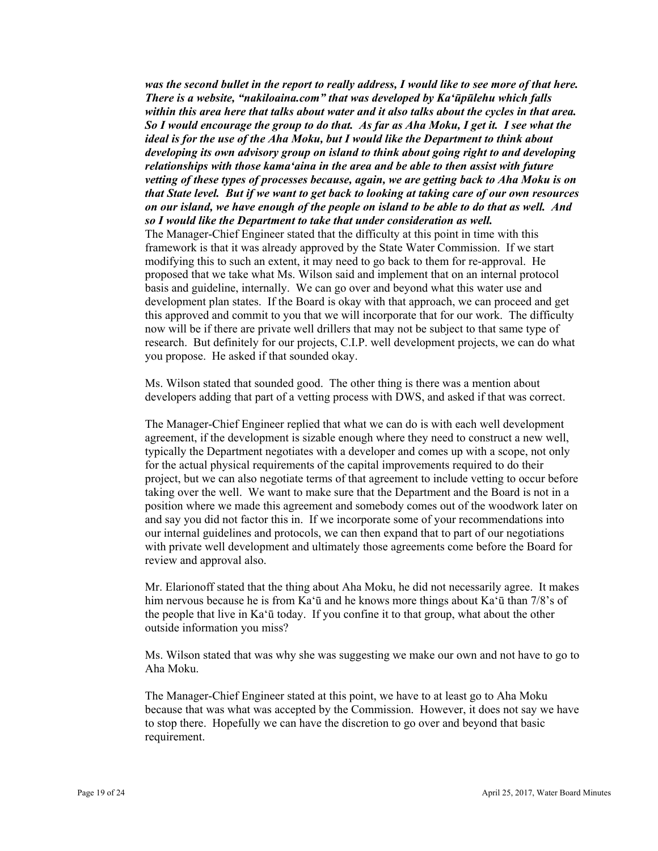*was the second bullet in the report to really address, I would like to see more of that here. There is a website, "nakiloaina.com" that was developed by Kaʻūpūlehu which falls within this area here that talks about water and it also talks about the cycles in that area. So I would encourage the group to do that. As far as Aha Moku, I get it. I see what the ideal is for the use of the Aha Moku, but I would like the Department to think about developing its own advisory group on island to think about going right to and developing relationships with those kama'aina in the area and be able to then assist with future vetting of these types of processes because, again, we are getting back to Aha Moku is on that State level. But if we want to get back to looking at taking care of our own resources on our island, we have enough of the people on island to be able to do that as well. And so I would like the Department to take that under consideration as well.* 

The Manager-Chief Engineer stated that the difficulty at this point in time with this framework is that it was already approved by the State Water Commission. If we start modifying this to such an extent, it may need to go back to them for re-approval. He proposed that we take what Ms. Wilson said and implement that on an internal protocol basis and guideline, internally. We can go over and beyond what this water use and development plan states. If the Board is okay with that approach, we can proceed and get this approved and commit to you that we will incorporate that for our work. The difficulty now will be if there are private well drillers that may not be subject to that same type of research. But definitely for our projects, C.I.P. well development projects, we can do what you propose. He asked if that sounded okay.

Ms. Wilson stated that sounded good. The other thing is there was a mention about developers adding that part of a vetting process with DWS, and asked if that was correct.

The Manager-Chief Engineer replied that what we can do is with each well development agreement, if the development is sizable enough where they need to construct a new well, typically the Department negotiates with a developer and comes up with a scope, not only for the actual physical requirements of the capital improvements required to do their project, but we can also negotiate terms of that agreement to include vetting to occur before taking over the well. We want to make sure that the Department and the Board is not in a position where we made this agreement and somebody comes out of the woodwork later on and say you did not factor this in. If we incorporate some of your recommendations into our internal guidelines and protocols, we can then expand that to part of our negotiations with private well development and ultimately those agreements come before the Board for review and approval also.

Mr. Elarionoff stated that the thing about Aha Moku, he did not necessarily agree. It makes him nervous because he is from Ka'ū and he knows more things about Ka'ū than 7/8's of the people that live in Ka'ū today. If you confine it to that group, what about the other outside information you miss?

Ms. Wilson stated that was why she was suggesting we make our own and not have to go to Aha Moku.

The Manager-Chief Engineer stated at this point, we have to at least go to Aha Moku because that was what was accepted by the Commission. However, it does not say we have to stop there. Hopefully we can have the discretion to go over and beyond that basic requirement.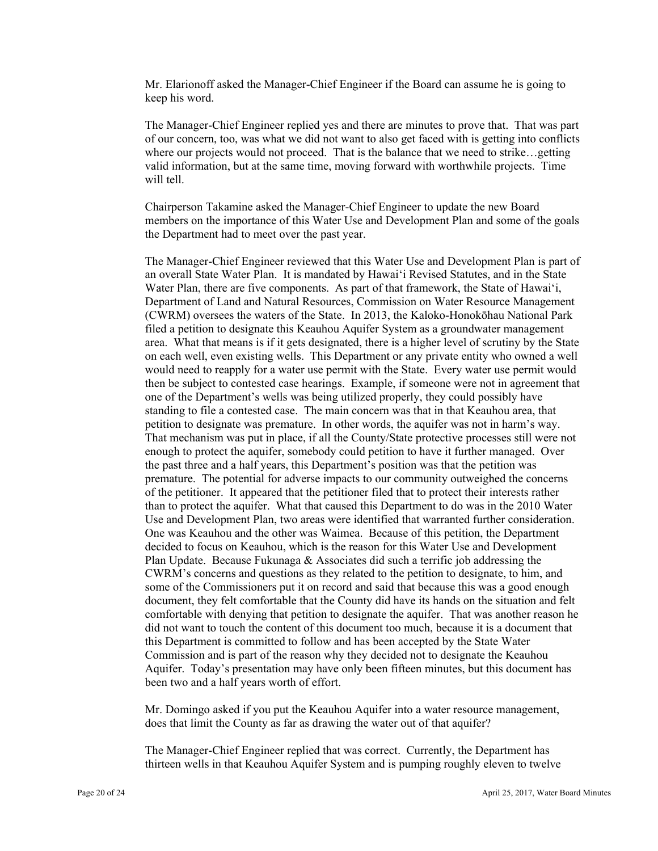Mr. Elarionoff asked the Manager-Chief Engineer if the Board can assume he is going to keep his word.

The Manager-Chief Engineer replied yes and there are minutes to prove that. That was part of our concern, too, was what we did not want to also get faced with is getting into conflicts where our projects would not proceed. That is the balance that we need to strike…getting valid information, but at the same time, moving forward with worthwhile projects. Time will tell.

Chairperson Takamine asked the Manager-Chief Engineer to update the new Board members on the importance of this Water Use and Development Plan and some of the goals the Department had to meet over the past year.

petition to designate was premature. In other words, the aquifer was not in harm's way. The Manager-Chief Engineer reviewed that this Water Use and Development Plan is part of an overall State Water Plan. It is mandated by Hawai'i Revised Statutes, and in the State Water Plan, there are five components. As part of that framework, the State of Hawai'i, Department of Land and Natural Resources, Commission on Water Resource Management (CWRM) oversees the waters of the State. In 2013, the Kaloko-Honokōhau National Park filed a petition to designate this Keauhou Aquifer System as a groundwater management area. What that means is if it gets designated, there is a higher level of scrutiny by the State on each well, even existing wells. This Department or any private entity who owned a well would need to reapply for a water use permit with the State. Every water use permit would then be subject to contested case hearings. Example, if someone were not in agreement that one of the Department's wells was being utilized properly, they could possibly have standing to file a contested case. The main concern was that in that Keauhou area, that That mechanism was put in place, if all the County/State protective processes still were not enough to protect the aquifer, somebody could petition to have it further managed. Over the past three and a half years, this Department's position was that the petition was premature. The potential for adverse impacts to our community outweighed the concerns of the petitioner. It appeared that the petitioner filed that to protect their interests rather than to protect the aquifer. What that caused this Department to do was in the 2010 Water Use and Development Plan, two areas were identified that warranted further consideration. One was Keauhou and the other was Waimea. Because of this petition, the Department decided to focus on Keauhou, which is the reason for this Water Use and Development Plan Update. Because Fukunaga & Associates did such a terrific job addressing the CWRM's concerns and questions as they related to the petition to designate, to him, and some of the Commissioners put it on record and said that because this was a good enough document, they felt comfortable that the County did have its hands on the situation and felt comfortable with denying that petition to designate the aquifer. That was another reason he did not want to touch the content of this document too much, because it is a document that this Department is committed to follow and has been accepted by the State Water Commission and is part of the reason why they decided not to designate the Keauhou Aquifer. Today's presentation may have only been fifteen minutes, but this document has been two and a half years worth of effort.

Mr. Domingo asked if you put the Keauhou Aquifer into a water resource management, does that limit the County as far as drawing the water out of that aquifer?

The Manager-Chief Engineer replied that was correct. Currently, the Department has thirteen wells in that Keauhou Aquifer System and is pumping roughly eleven to twelve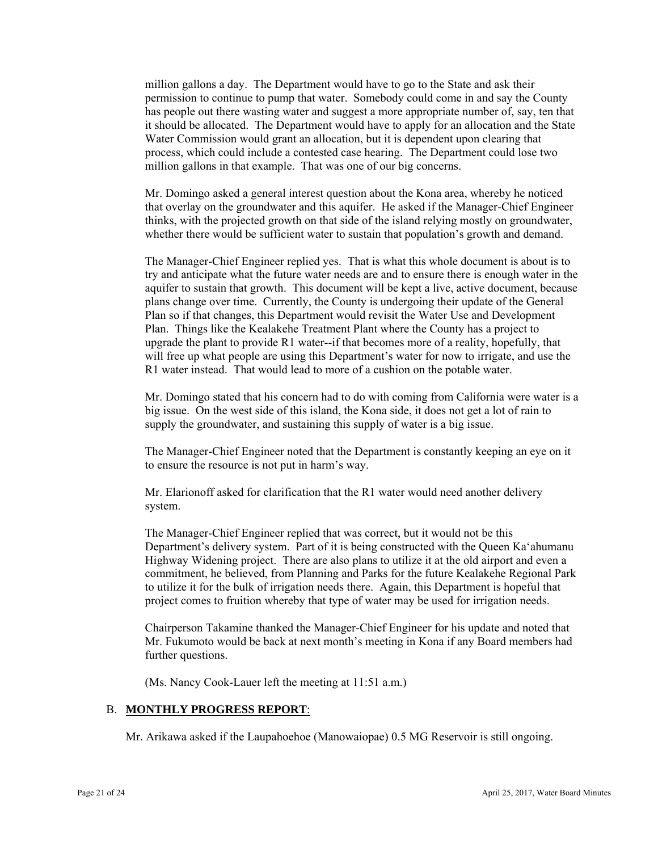million gallons a day. The Department would have to go to the State and ask their permission to continue to pump that water. Somebody could come in and say the County has people out there wasting water and suggest a more appropriate number of, say, ten that it should be allocated. The Department would have to apply for an allocation and the State Water Commission would grant an allocation, but it is dependent upon clearing that process, which could include a contested case hearing. The Department could lose two million gallons in that example. That was one of our big concerns.

Mr. Domingo asked a general interest question about the Kona area, whereby he noticed that overlay on the groundwater and this aquifer. He asked if the Manager-Chief Engineer thinks, with the projected growth on that side of the island relying mostly on groundwater, whether there would be sufficient water to sustain that population's growth and demand.

The Manager-Chief Engineer replied yes. That is what this whole document is about is to try and anticipate what the future water needs are and to ensure there is enough water in the aquifer to sustain that growth. This document will be kept a live, active document, because plans change over time. Currently, the County is undergoing their update of the General Plan so if that changes, this Department would revisit the Water Use and Development Plan. Things like the Kealakehe Treatment Plant where the County has a project to upgrade the plant to provide R1 water--if that becomes more of a reality, hopefully, that will free up what people are using this Department's water for now to irrigate, and use the R1 water instead. That would lead to more of a cushion on the potable water.

Mr. Domingo stated that his concern had to do with coming from California were water is a big issue. On the west side of this island, the Kona side, it does not get a lot of rain to supply the groundwater, and sustaining this supply of water is a big issue.

The Manager-Chief Engineer noted that the Department is constantly keeping an eye on it to ensure the resource is not put in harm's way.

Mr. Elarionoff asked for clarification that the R1 water would need another delivery system.

The Manager-Chief Engineer replied that was correct, but it would not be this Department's delivery system. Part of it is being constructed with the Queen Ka'ahumanu Highway Widening project. There are also plans to utilize it at the old airport and even a commitment, he believed, from Planning and Parks for the future Kealakehe Regional Park to utilize it for the bulk of irrigation needs there. Again, this Department is hopeful that project comes to fruition whereby that type of water may be used for irrigation needs.

Chairperson Takamine thanked the Manager-Chief Engineer for his update and noted that Mr. Fukumoto would be back at next month's meeting in Kona if any Board members had further questions.

(Ms. Nancy Cook-Lauer left the meeting at 11:51 a.m.)

## B. **MONTHLY PROGRESS REPORT**:

Mr. Arikawa asked if the Laupahoehoe (Manowaiopae) 0.5 MG Reservoir is still ongoing.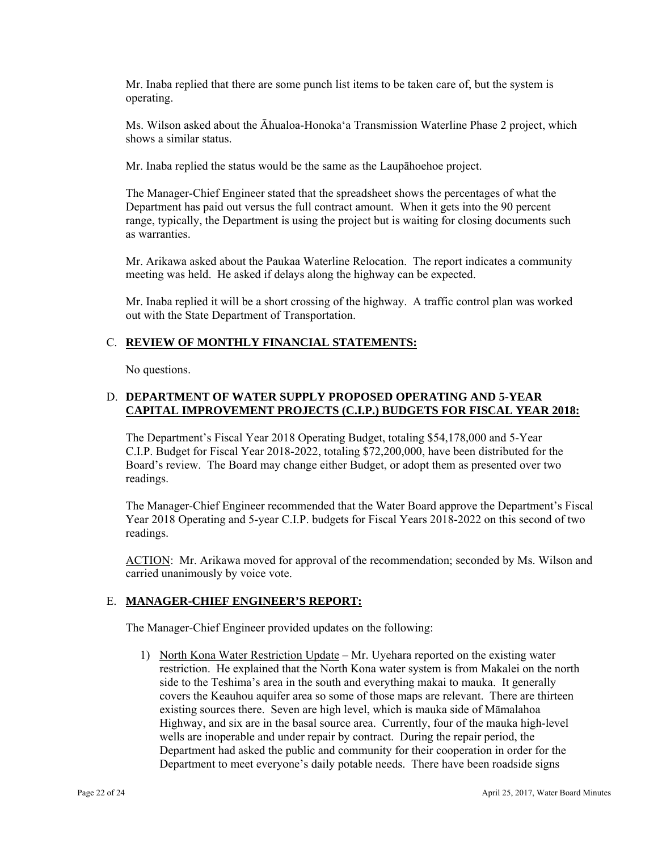Mr. Inaba replied that there are some punch list items to be taken care of, but the system is operating.

Ms. Wilson asked about the Āhualoa-Honoka'a Transmission Waterline Phase 2 project, which shows a similar status.

Mr. Inaba replied the status would be the same as the Laupāhoehoe project.

The Manager-Chief Engineer stated that the spreadsheet shows the percentages of what the Department has paid out versus the full contract amount. When it gets into the 90 percent range, typically, the Department is using the project but is waiting for closing documents such as warranties.

Mr. Arikawa asked about the Paukaa Waterline Relocation. The report indicates a community meeting was held. He asked if delays along the highway can be expected.

Mr. Inaba replied it will be a short crossing of the highway. A traffic control plan was worked out with the State Department of Transportation.

## C. **REVIEW OF MONTHLY FINANCIAL STATEMENTS:**

No questions.

# D. **DEPARTMENT OF WATER SUPPLY PROPOSED OPERATING AND 5-YEAR CAPITAL IMPROVEMENT PROJECTS (C.I.P.) BUDGETS FOR FISCAL YEAR 2018:**

The Department's Fiscal Year 2018 Operating Budget, totaling \$54,178,000 and 5-Year C.I.P. Budget for Fiscal Year 2018-2022, totaling \$72,200,000, have been distributed for the Board's review. The Board may change either Budget, or adopt them as presented over two readings.

The Manager-Chief Engineer recommended that the Water Board approve the Department's Fiscal Year 2018 Operating and 5-year C.I.P. budgets for Fiscal Years 2018-2022 on this second of two readings.

ACTION: Mr. Arikawa moved for approval of the recommendation; seconded by Ms. Wilson and carried unanimously by voice vote.

## E. **MANAGER-CHIEF ENGINEER'S REPORT:**

The Manager-Chief Engineer provided updates on the following:

1) North Kona Water Restriction Update – Mr. Uyehara reported on the existing water restriction. He explained that the North Kona water system is from Makalei on the north side to the Teshima's area in the south and everything makai to mauka. It generally covers the Keauhou aquifer area so some of those maps are relevant. There are thirteen existing sources there. Seven are high level, which is mauka side of Māmalahoa Highway, and six are in the basal source area. Currently, four of the mauka high-level wells are inoperable and under repair by contract. During the repair period, the Department had asked the public and community for their cooperation in order for the Department to meet everyone's daily potable needs. There have been roadside signs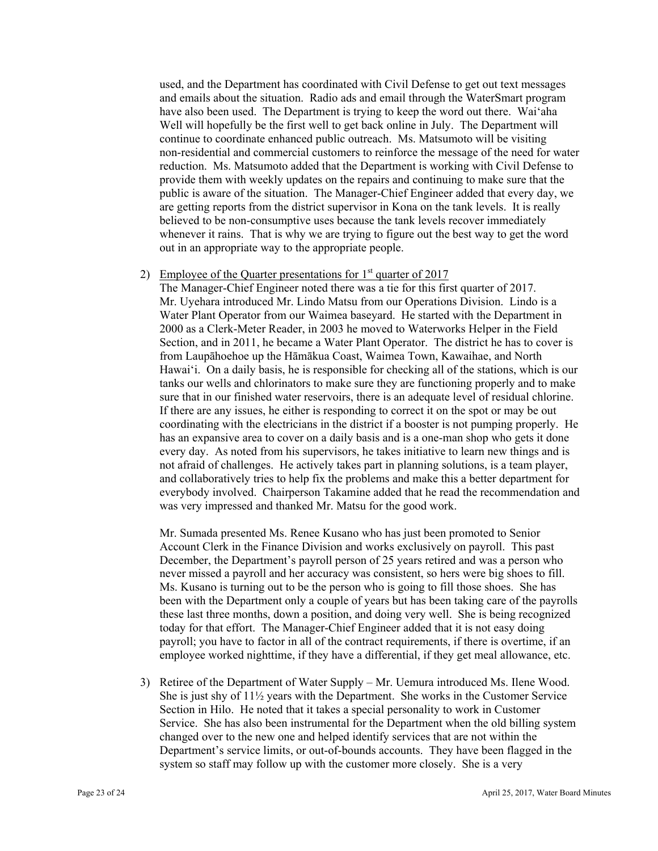provide them with weekly updates on the repairs and continuing to make sure that the used, and the Department has coordinated with Civil Defense to get out text messages and emails about the situation. Radio ads and email through the WaterSmart program have also been used. The Department is trying to keep the word out there. Wai'aha Well will hopefully be the first well to get back online in July. The Department will continue to coordinate enhanced public outreach. Ms. Matsumoto will be visiting non-residential and commercial customers to reinforce the message of the need for water reduction. Ms. Matsumoto added that the Department is working with Civil Defense to public is aware of the situation. The Manager-Chief Engineer added that every day, we are getting reports from the district supervisor in Kona on the tank levels. It is really believed to be non-consumptive uses because the tank levels recover immediately whenever it rains. That is why we are trying to figure out the best way to get the word out in an appropriate way to the appropriate people.

# 2) Employee of the Quarter presentations for  $1<sup>st</sup>$  quarter of 2017

The Manager-Chief Engineer noted there was a tie for this first quarter of 2017. Mr. Uyehara introduced Mr. Lindo Matsu from our Operations Division. Lindo is a Water Plant Operator from our Waimea baseyard. He started with the Department in 2000 as a Clerk-Meter Reader, in 2003 he moved to Waterworks Helper in the Field Section, and in 2011, he became a Water Plant Operator. The district he has to cover is from Laupāhoehoe up the Hāmākua Coast, Waimea Town, Kawaihae, and North Hawai'i. On a daily basis, he is responsible for checking all of the stations, which is our tanks our wells and chlorinators to make sure they are functioning properly and to make sure that in our finished water reservoirs, there is an adequate level of residual chlorine. If there are any issues, he either is responding to correct it on the spot or may be out coordinating with the electricians in the district if a booster is not pumping properly. He has an expansive area to cover on a daily basis and is a one-man shop who gets it done every day. As noted from his supervisors, he takes initiative to learn new things and is not afraid of challenges. He actively takes part in planning solutions, is a team player, and collaboratively tries to help fix the problems and make this a better department for everybody involved. Chairperson Takamine added that he read the recommendation and was very impressed and thanked Mr. Matsu for the good work.

Mr. Sumada presented Ms. Renee Kusano who has just been promoted to Senior Account Clerk in the Finance Division and works exclusively on payroll. This past December, the Department's payroll person of 25 years retired and was a person who never missed a payroll and her accuracy was consistent, so hers were big shoes to fill. Ms. Kusano is turning out to be the person who is going to fill those shoes. She has been with the Department only a couple of years but has been taking care of the payrolls these last three months, down a position, and doing very well. She is being recognized today for that effort. The Manager-Chief Engineer added that it is not easy doing payroll; you have to factor in all of the contract requirements, if there is overtime, if an employee worked nighttime, if they have a differential, if they get meal allowance, etc.

3) Retiree of the Department of Water Supply – Mr. Uemura introduced Ms. Ilene Wood. She is just shy of  $11\frac{1}{2}$  years with the Department. She works in the Customer Service Section in Hilo. He noted that it takes a special personality to work in Customer Service. She has also been instrumental for the Department when the old billing system changed over to the new one and helped identify services that are not within the Department's service limits, or out-of-bounds accounts. They have been flagged in the system so staff may follow up with the customer more closely. She is a very